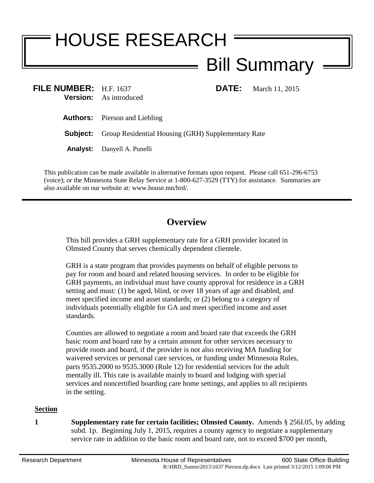## HOUSE RESEARCH Bill Summary

| FILE NUMBER: $H.F. 1637$ | <b>Version:</b> As introduced                                      | <b>DATE:</b> | March 11, 2015 |
|--------------------------|--------------------------------------------------------------------|--------------|----------------|
|                          | <b>Authors:</b> Pierson and Liebling                               |              |                |
|                          | <b>Subject:</b> Group Residential Housing (GRH) Supplementary Rate |              |                |
|                          | <b>Analyst:</b> Danyell A. Punelli                                 |              |                |
|                          |                                                                    |              |                |

This publication can be made available in alternative formats upon request. Please call 651-296-6753 (voice); or the Minnesota State Relay Service at 1-800-627-3529 (TTY) for assistance. Summaries are also available on our website at: www.house.mn/hrd/.

## **Overview**

This bill provides a GRH supplementary rate for a GRH provider located in Olmsted County that serves chemically dependent clientele.

GRH is a state program that provides payments on behalf of eligible persons to pay for room and board and related housing services. In order to be eligible for GRH payments, an individual must have county approval for residence in a GRH setting and must: (1) be aged, blind, or over 18 years of age and disabled, and meet specified income and asset standards; or (2) belong to a category of individuals potentially eligible for GA and meet specified income and asset standards.

Counties are allowed to negotiate a room and board rate that exceeds the GRH basic room and board rate by a certain amount for other services necessary to provide room and board, if the provider is not also receiving MA funding for waivered services or personal care services, or funding under Minnesota Rules, parts 9535.2000 to 9535.3000 (Rule 12) for residential services for the adult mentally ill. This rate is available mainly to board and lodging with special services and noncertified boarding care home settings, and applies to all recipients in the setting.

## **Section**

**1 Supplementary rate for certain facilities; Olmsted County.** Amends § 256I.05, by adding subd. 1p. Beginning July 1, 2015, requires a county agency to negotiate a supplementary service rate in addition to the basic room and board rate, not to exceed \$700 per month,